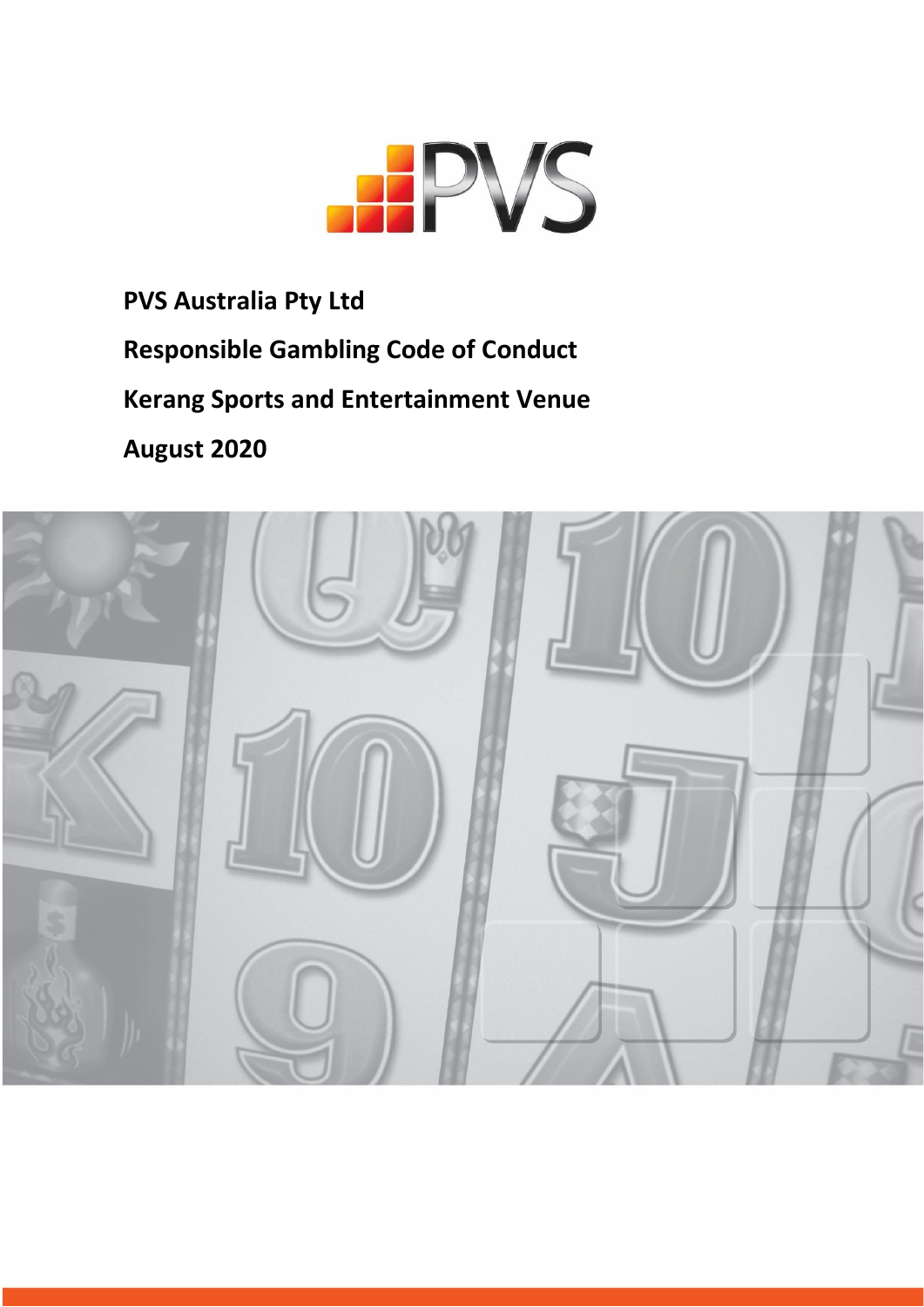

**PVS Australia Pty Ltd Responsible Gambling Code of Conduct Kerang Sports and Entertainment Venue August 2020**

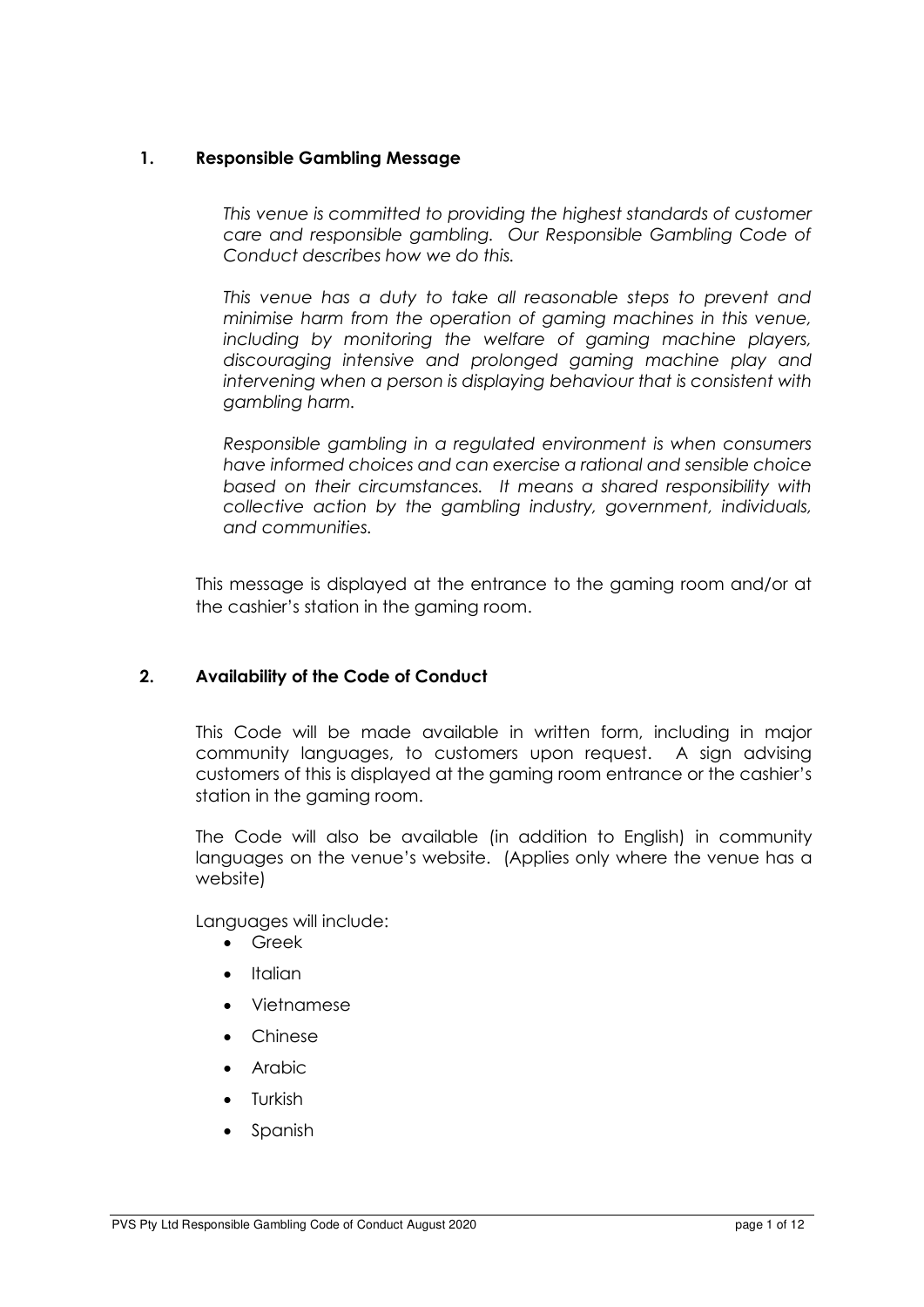# **1. Responsible Gambling Message**

*This venue is committed to providing the highest standards of customer care and responsible gambling. Our Responsible Gambling Code of Conduct describes how we do this.* 

*This venue has a duty to take all reasonable steps to prevent and minimise harm from the operation of gaming machines in this venue, including by monitoring the welfare of gaming machine players, discouraging intensive and prolonged gaming machine play and intervening when a person is displaying behaviour that is consistent with gambling harm.* 

*Responsible gambling in a regulated environment is when consumers have informed choices and can exercise a rational and sensible choice based on their circumstances. It means a shared responsibility with collective action by the gambling industry, government, individuals, and communities.* 

This message is displayed at the entrance to the gaming room and/or at the cashier's station in the gaming room.

# **2. Availability of the Code of Conduct**

This Code will be made available in written form, including in major community languages, to customers upon request. A sign advising customers of this is displayed at the gaming room entrance or the cashier's station in the gaming room.

The Code will also be available (in addition to English) in community languages on the venue's website. (Applies only where the venue has a website)

Languages will include:

- Greek
- Italian
- Vietnamese
- Chinese
- Arabic
- Turkish
- Spanish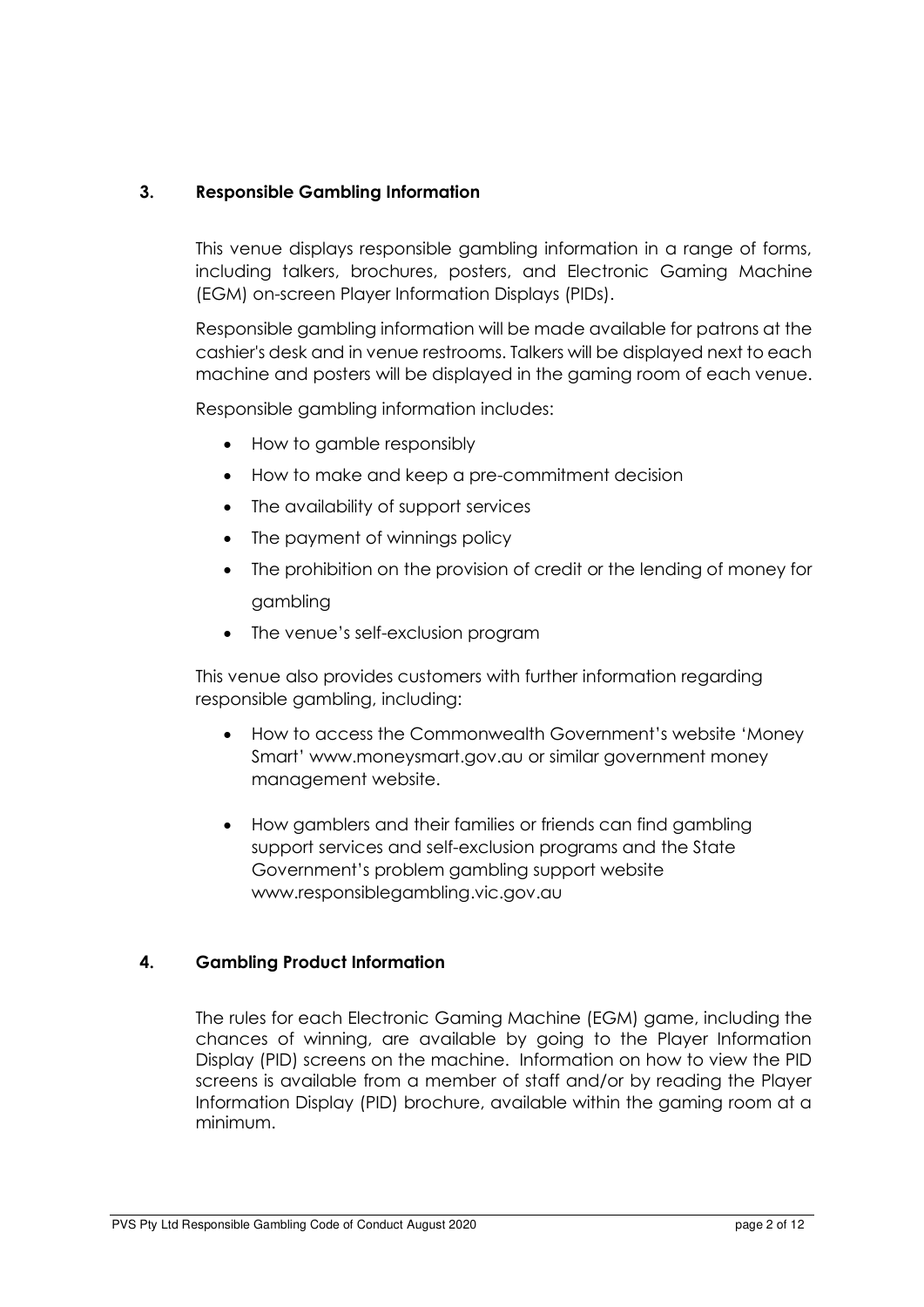# **3. Responsible Gambling Information**

This venue displays responsible gambling information in a range of forms, including talkers, brochures, posters, and Electronic Gaming Machine (EGM) on-screen Player Information Displays (PIDs).

Responsible gambling information will be made available for patrons at the cashier's desk and in venue restrooms. Talkers will be displayed next to each machine and posters will be displayed in the gaming room of each venue.

Responsible gambling information includes:

- How to gamble responsibly
- How to make and keep a pre-commitment decision
- The availability of support services
- The payment of winnings policy
- The prohibition on the provision of credit or the lending of money for gambling
- The venue's self-exclusion program

This venue also provides customers with further information regarding responsible gambling, including:

- How to access the Commonwealth Government's website 'Money Smart' [www.moneysmart.gov.au](http://www.moneysmart.gov.au/) or similar government money management website.
- How gamblers and their families or friends can find gambling support services and self-exclusion programs and the State Government's problem gambling support website [www.responsiblegambling.vic.gov.au](http://www.responsiblegambling.vic.gov.au/)

# **4. Gambling Product Information**

The rules for each Electronic Gaming Machine (EGM) game, including the chances of winning, are available by going to the Player Information Display (PID) screens on the machine. Information on how to view the PID screens is available from a member of staff and/or by reading the Player Information Display (PID) brochure, available within the gaming room at a minimum.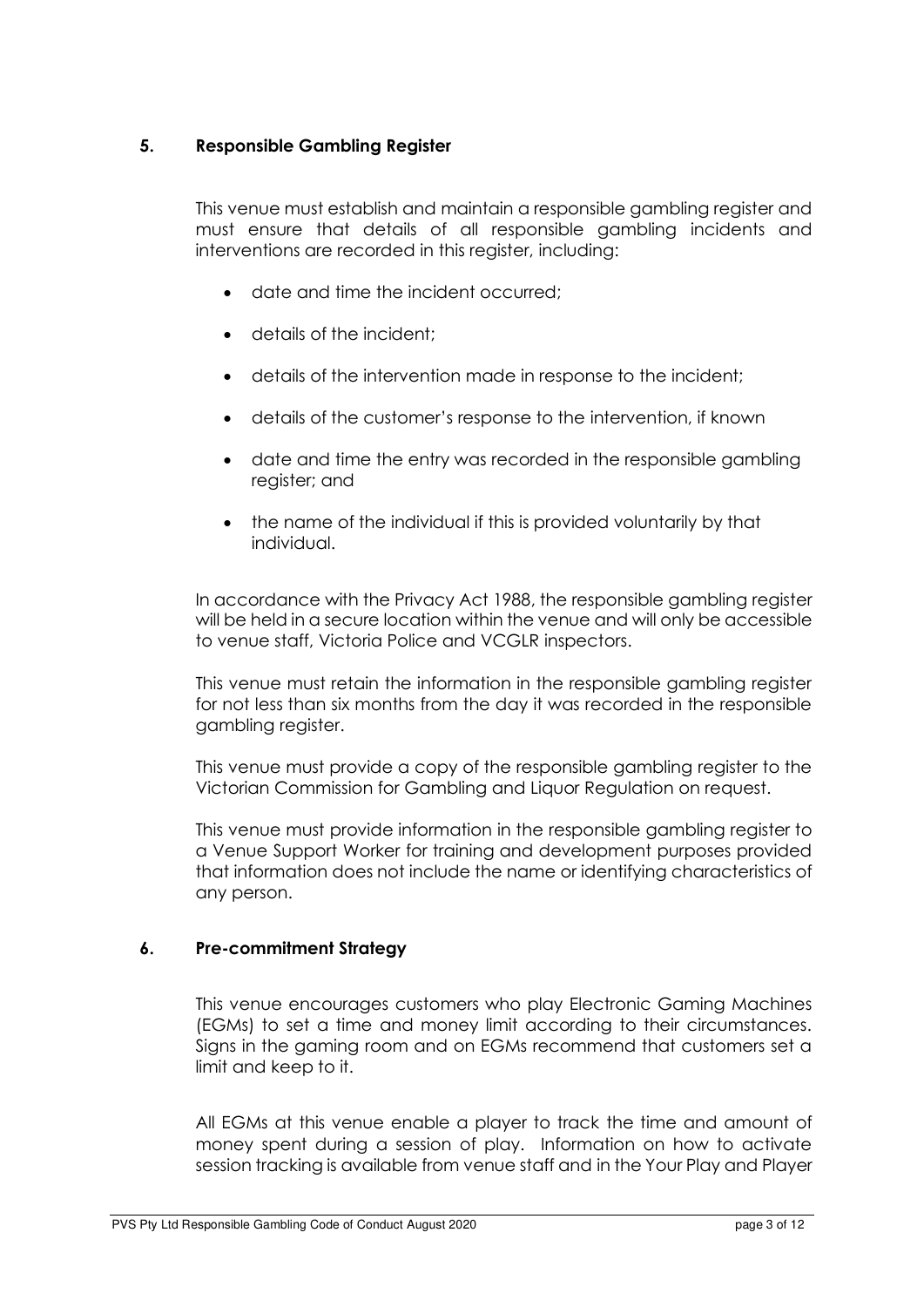# **5. Responsible Gambling Register**

This venue must establish and maintain a responsible gambling register and must ensure that details of all responsible gambling incidents and interventions are recorded in this register, including:

- date and time the incident occurred;
- details of the incident;
- details of the intervention made in response to the incident;
- details of the customer's response to the intervention, if known
- date and time the entry was recorded in the responsible gambling register; and
- the name of the individual if this is provided voluntarily by that individual.

In accordance with the Privacy Act 1988, the responsible gambling register will be held in a secure location within the venue and will only be accessible to venue staff, Victoria Police and VCGLR inspectors.

This venue must retain the information in the responsible gambling register for not less than six months from the day it was recorded in the responsible gambling register.

This venue must provide a copy of the responsible gambling register to the Victorian Commission for Gambling and Liquor Regulation on request.

This venue must provide information in the responsible gambling register to a Venue Support Worker for training and development purposes provided that information does not include the name or identifying characteristics of any person.

# **6. Pre-commitment Strategy**

This venue encourages customers who play Electronic Gaming Machines (EGMs) to set a time and money limit according to their circumstances. Signs in the gaming room and on EGMs recommend that customers set a limit and keep to it.

All EGMs at this venue enable a player to track the time and amount of money spent during a session of play. Information on how to activate session tracking is available from venue staff and in the Your Play and Player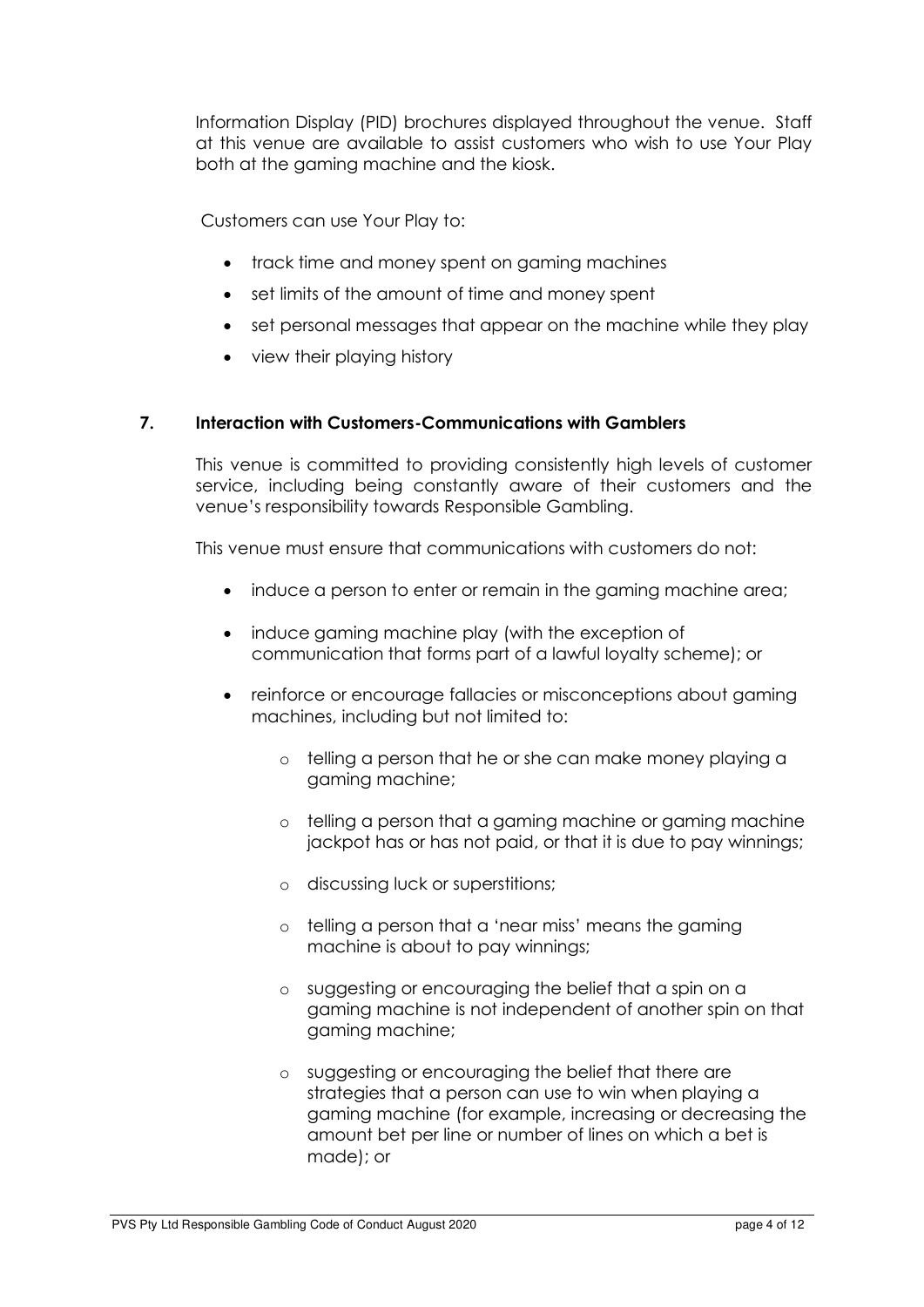Information Display (PID) brochures displayed throughout the venue. Staff at this venue are available to assist customers who wish to use Your Play both at the gaming machine and the kiosk.

Customers can use Your Play to:

- track time and money spent on gaming machines
- set limits of the amount of time and money spent
- set personal messages that appear on the machine while they play
- view their playing history

# **7. Interaction with Customers-Communications with Gamblers**

This venue is committed to providing consistently high levels of customer service, including being constantly aware of their customers and the venue's responsibility towards Responsible Gambling.

This venue must ensure that communications with customers do not:

- induce a person to enter or remain in the gaming machine area;
- induce gaming machine play (with the exception of communication that forms part of a lawful loyalty scheme); or
- reinforce or encourage fallacies or misconceptions about gaming machines, including but not limited to:
	- o telling a person that he or she can make money playing a gaming machine;
	- o telling a person that a gaming machine or gaming machine jackpot has or has not paid, or that it is due to pay winnings;
	- o discussing luck or superstitions;
	- o telling a person that a 'near miss' means the gaming machine is about to pay winnings;
	- o suggesting or encouraging the belief that a spin on a gaming machine is not independent of another spin on that gaming machine;
	- o suggesting or encouraging the belief that there are strategies that a person can use to win when playing a gaming machine (for example, increasing or decreasing the amount bet per line or number of lines on which a bet is made); or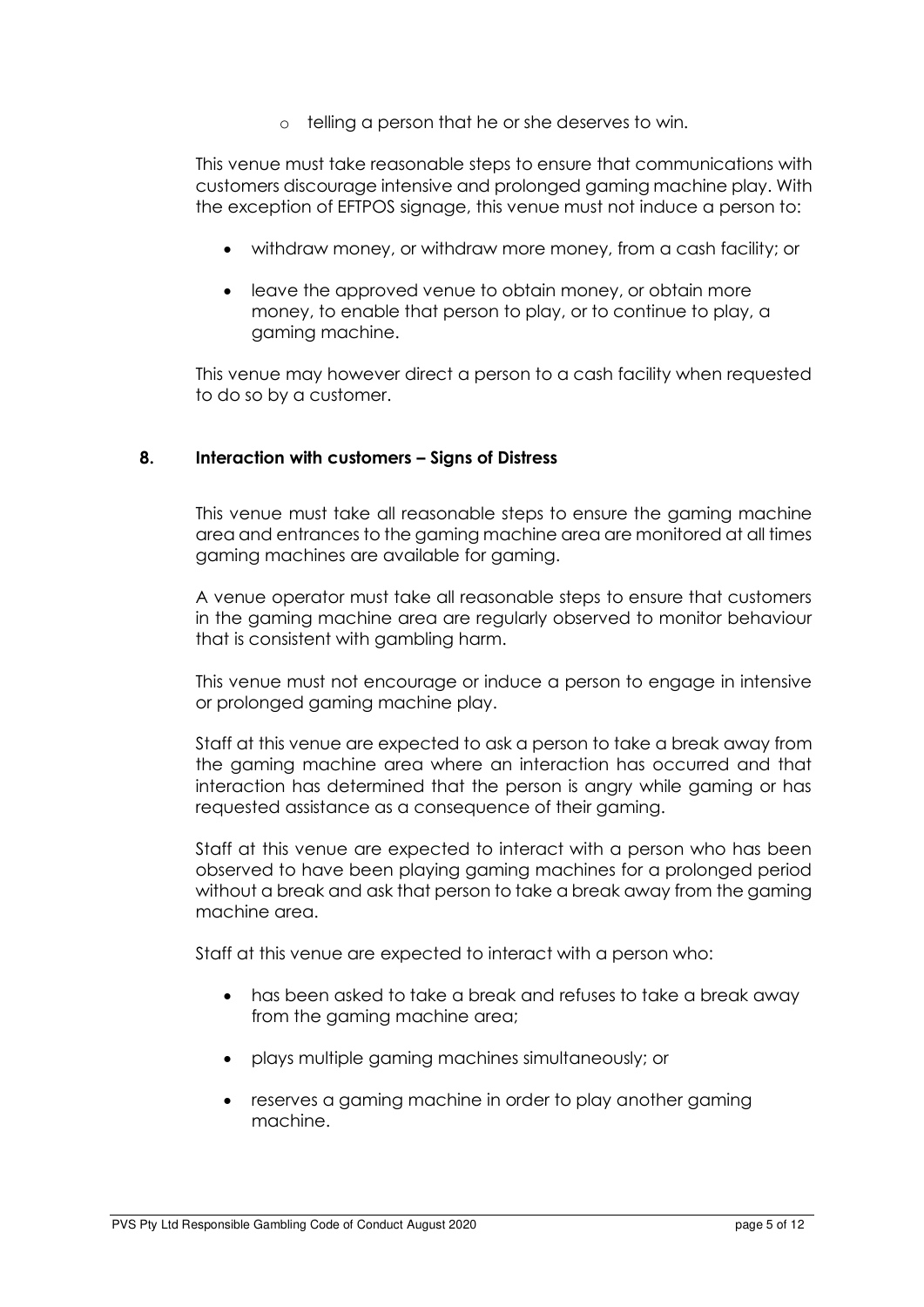o telling a person that he or she deserves to win.

This venue must take reasonable steps to ensure that communications with customers discourage intensive and prolonged gaming machine play. With the exception of EFTPOS signage, this venue must not induce a person to:

- withdraw money, or withdraw more money, from a cash facility; or
- leave the approved venue to obtain money, or obtain more money, to enable that person to play, or to continue to play, a gaming machine.

This venue may however direct a person to a cash facility when requested to do so by a customer.

# **8. Interaction with customers – Signs of Distress**

This venue must take all reasonable steps to ensure the gaming machine area and entrances to the gaming machine area are monitored at all times gaming machines are available for gaming.

A venue operator must take all reasonable steps to ensure that customers in the gaming machine area are regularly observed to monitor behaviour that is consistent with gambling harm.

This venue must not encourage or induce a person to engage in intensive or prolonged gaming machine play.

Staff at this venue are expected to ask a person to take a break away from the gaming machine area where an interaction has occurred and that interaction has determined that the person is angry while gaming or has requested assistance as a consequence of their gaming.

Staff at this venue are expected to interact with a person who has been observed to have been playing gaming machines for a prolonged period without a break and ask that person to take a break away from the gaming machine area.

Staff at this venue are expected to interact with a person who:

- has been asked to take a break and refuses to take a break away from the gaming machine area;
- plays multiple gaming machines simultaneously; or
- reserves a gaming machine in order to play another gaming machine.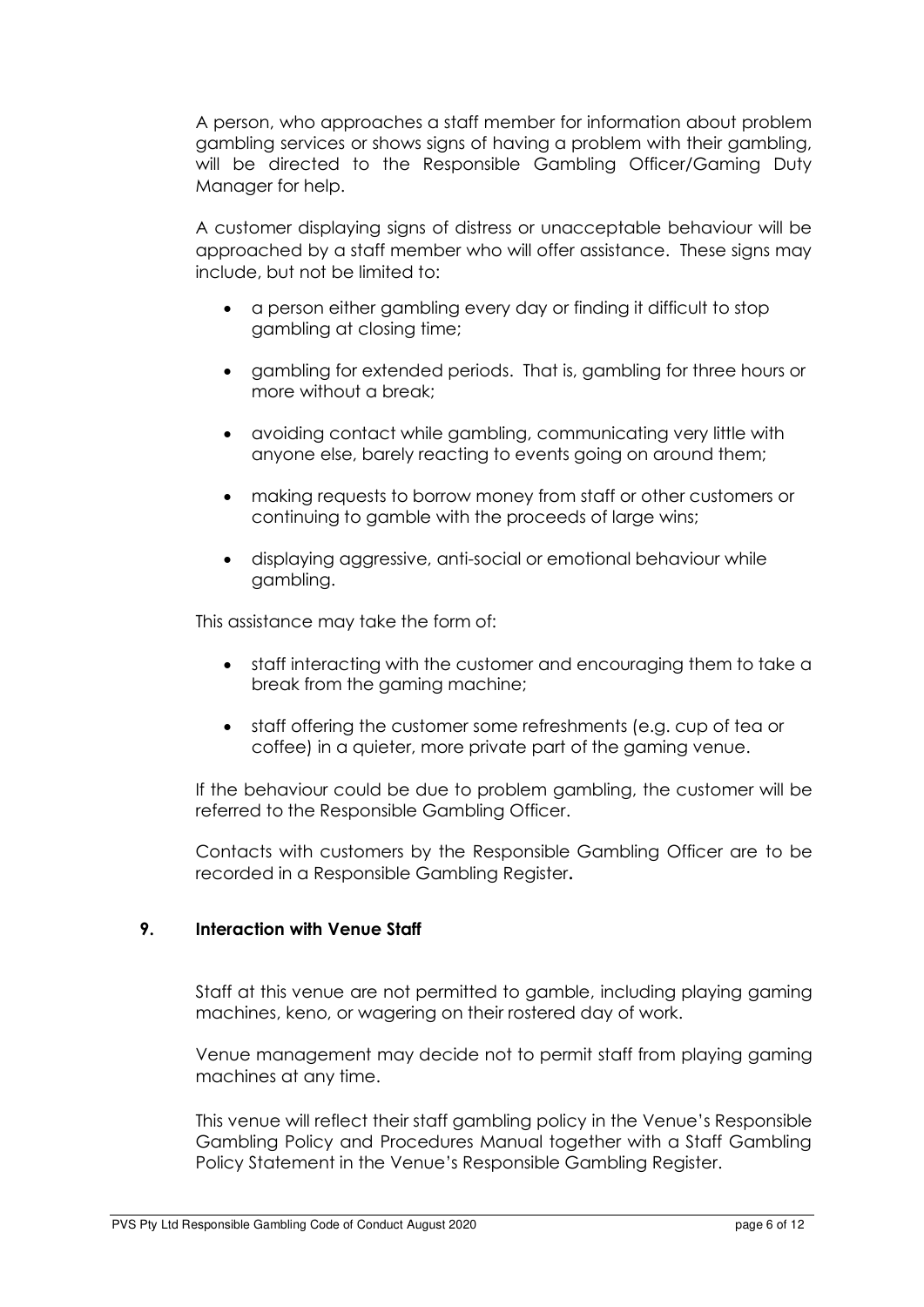A person, who approaches a staff member for information about problem gambling services or shows signs of having a problem with their gambling, will be directed to the Responsible Gambling Officer/Gaming Duty Manager for help.

A customer displaying signs of distress or unacceptable behaviour will be approached by a staff member who will offer assistance. These signs may include, but not be limited to:

- a person either gambling every day or finding it difficult to stop gambling at closing time;
- gambling for extended periods. That is, gambling for three hours or more without a break;
- avoiding contact while gambling, communicating very little with anyone else, barely reacting to events going on around them;
- making requests to borrow money from staff or other customers or continuing to gamble with the proceeds of large wins;
- displaying aggressive, anti-social or emotional behaviour while gambling.

This assistance may take the form of:

- staff interacting with the customer and encouraging them to take a break from the gaming machine;
- staff offering the customer some refreshments (e.g. cup of tea or coffee) in a quieter, more private part of the gaming venue.

If the behaviour could be due to problem gambling, the customer will be referred to the Responsible Gambling Officer.

Contacts with customers by the Responsible Gambling Officer are to be recorded in a Responsible Gambling Register**.** 

# **9. Interaction with Venue Staff**

Staff at this venue are not permitted to gamble, including playing gaming machines, keno, or wagering on their rostered day of work.

Venue management may decide not to permit staff from playing gaming machines at any time.

This venue will reflect their staff gambling policy in the Venue's Responsible Gambling Policy and Procedures Manual together with a Staff Gambling Policy Statement in the Venue's Responsible Gambling Register.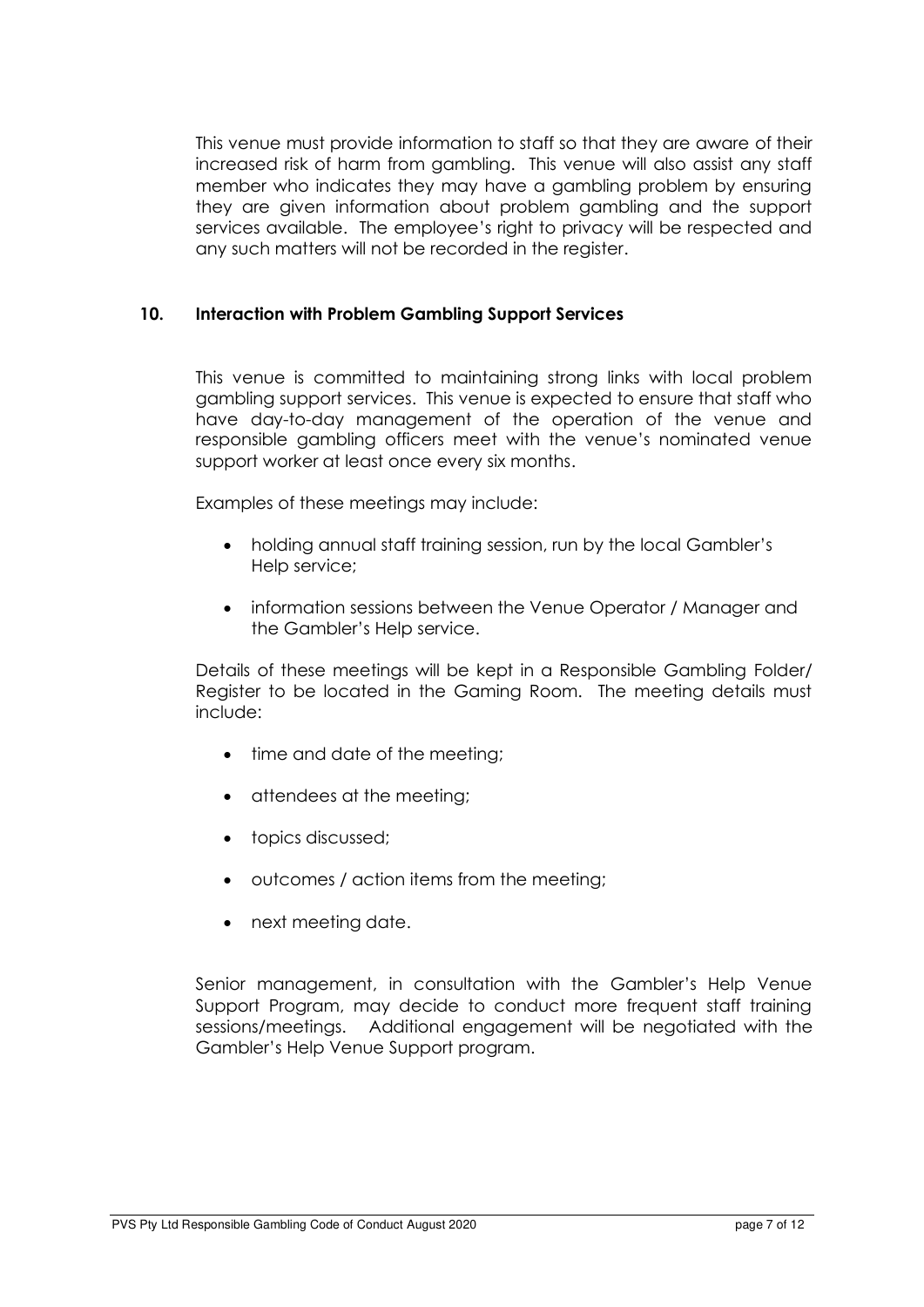This venue must provide information to staff so that they are aware of their increased risk of harm from gambling. This venue will also assist any staff member who indicates they may have a gambling problem by ensuring they are given information about problem gambling and the support services available. The employee's right to privacy will be respected and any such matters will not be recorded in the register.

# **10. Interaction with Problem Gambling Support Services**

This venue is committed to maintaining strong links with local problem gambling support services. This venue is expected to ensure that staff who have day-to-day management of the operation of the venue and responsible gambling officers meet with the venue's nominated venue support worker at least once every six months.

Examples of these meetings may include:

- holding annual staff training session, run by the local Gambler's Help service;
- information sessions between the Venue Operator / Manager and the Gambler's Help service.

Details of these meetings will be kept in a Responsible Gambling Folder/ Register to be located in the Gaming Room. The meeting details must include:

- time and date of the meeting;
- attendees at the meeting;
- topics discussed;
- outcomes / action items from the meeting;
- next meeting date.

Senior management, in consultation with the Gambler's Help Venue Support Program, may decide to conduct more frequent staff training sessions/meetings. Additional engagement will be negotiated with the Gambler's Help Venue Support program.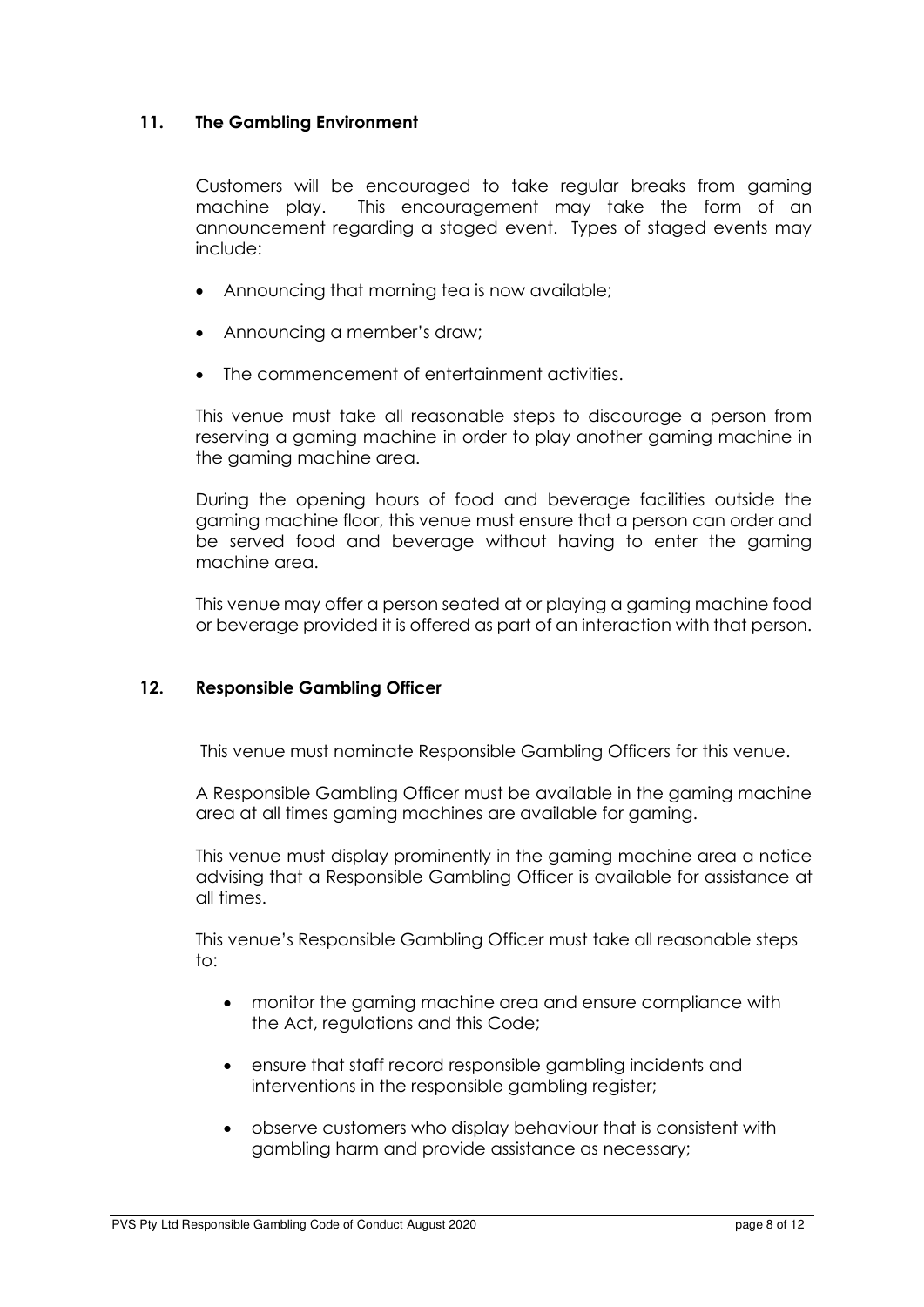# **11. The Gambling Environment**

Customers will be encouraged to take regular breaks from gaming machine play. This encouragement may take the form of an announcement regarding a staged event. Types of staged events may include:

- Announcing that morning tea is now available;
- Announcing a member's draw;
- The commencement of entertainment activities.

This venue must take all reasonable steps to discourage a person from reserving a gaming machine in order to play another gaming machine in the gaming machine area.

During the opening hours of food and beverage facilities outside the gaming machine floor, this venue must ensure that a person can order and be served food and beverage without having to enter the gaming machine area.

This venue may offer a person seated at or playing a gaming machine food or beverage provided it is offered as part of an interaction with that person.

### **12. Responsible Gambling Officer**

This venue must nominate Responsible Gambling Officers for this venue.

A Responsible Gambling Officer must be available in the gaming machine area at all times gaming machines are available for gaming.

This venue must display prominently in the gaming machine area a notice advising that a Responsible Gambling Officer is available for assistance at all times.

This venue's Responsible Gambling Officer must take all reasonable steps to:

- monitor the gaming machine area and ensure compliance with the Act, regulations and this Code;
- ensure that staff record responsible gambling incidents and interventions in the responsible gambling register;
- observe customers who display behaviour that is consistent with gambling harm and provide assistance as necessary;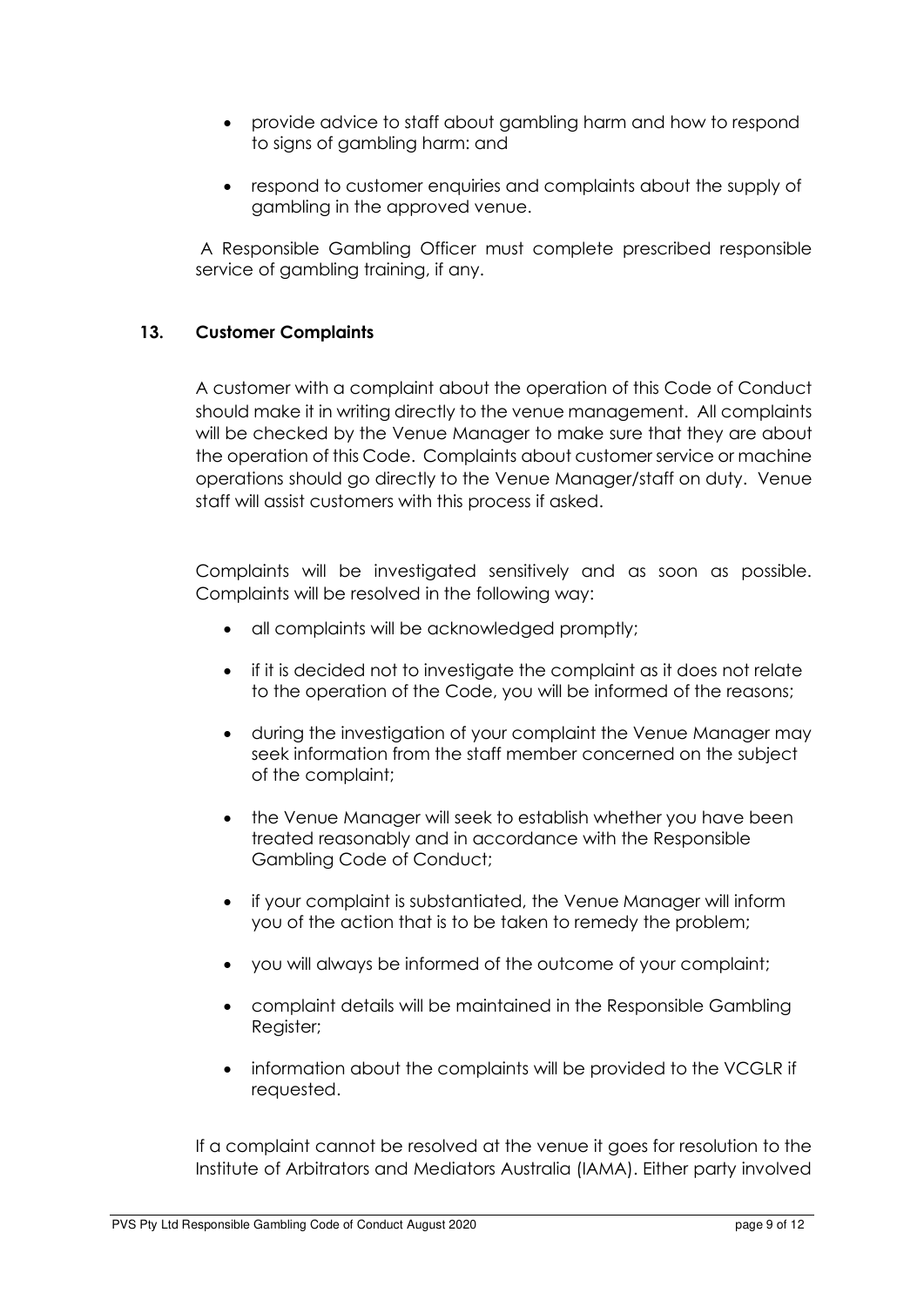- provide advice to staff about gambling harm and how to respond to signs of gambling harm: and
- respond to customer enquiries and complaints about the supply of gambling in the approved venue.

A Responsible Gambling Officer must complete prescribed responsible service of gambling training, if any.

# **13. Customer Complaints**

A customer with a complaint about the operation of this Code of Conduct should make it in writing directly to the venue management. All complaints will be checked by the Venue Manager to make sure that they are about the operation of this Code. Complaints about customer service or machine operations should go directly to the Venue Manager/staff on duty. Venue staff will assist customers with this process if asked.

Complaints will be investigated sensitively and as soon as possible. Complaints will be resolved in the following way:

- all complaints will be acknowledged promptly;
- if it is decided not to investigate the complaint as it does not relate to the operation of the Code, you will be informed of the reasons;
- during the investigation of your complaint the Venue Manager may seek information from the staff member concerned on the subject of the complaint;
- the Venue Manager will seek to establish whether you have been treated reasonably and in accordance with the Responsible Gambling Code of Conduct;
- if your complaint is substantiated, the Venue Manager will inform you of the action that is to be taken to remedy the problem;
- you will always be informed of the outcome of your complaint;
- complaint details will be maintained in the Responsible Gambling Register;
- information about the complaints will be provided to the VCGLR if requested.

If a complaint cannot be resolved at the venue it goes for resolution to the Institute of Arbitrators and Mediators Australia (IAMA). Either party involved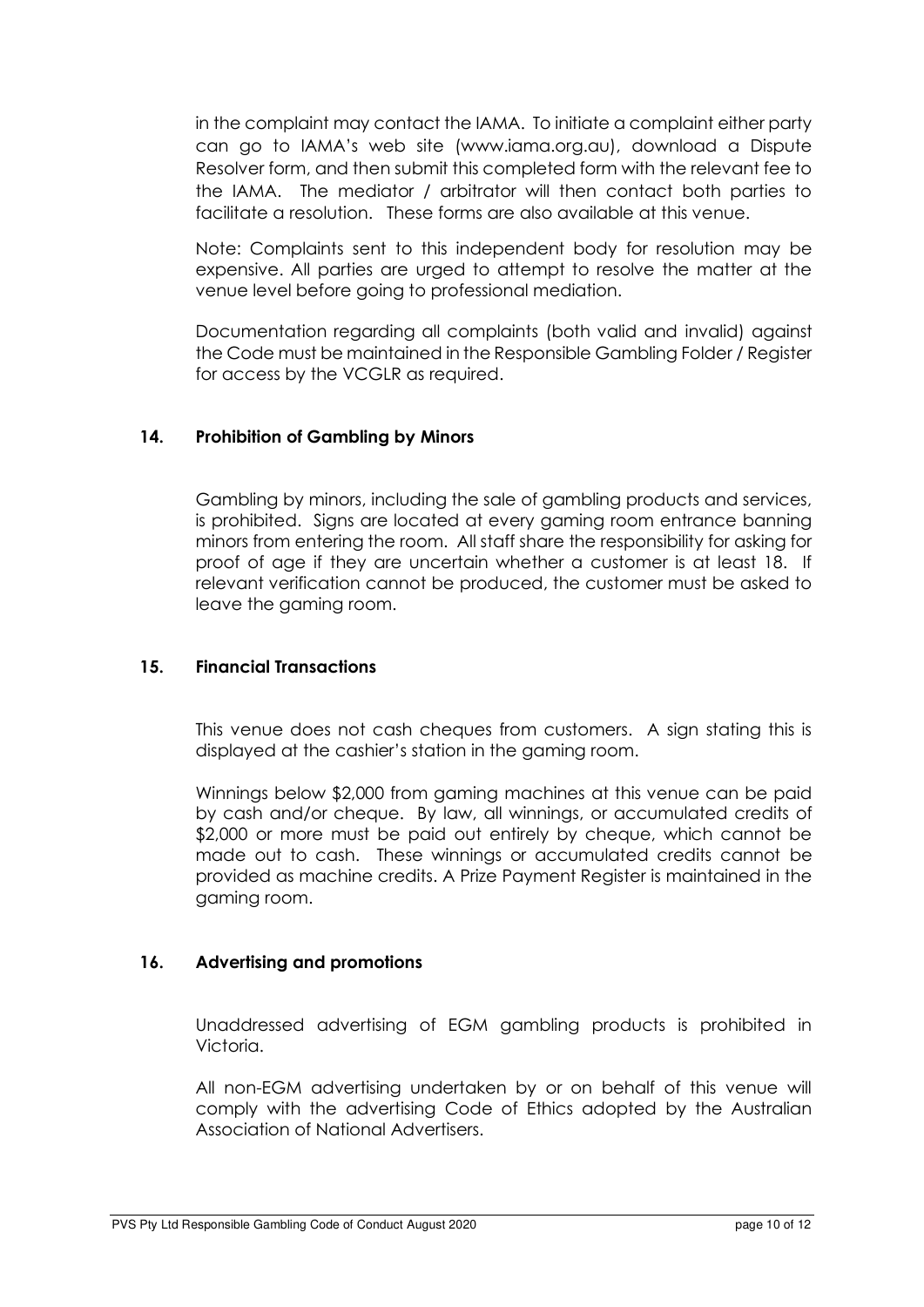in the complaint may contact the IAMA. To initiate a complaint either party can go to IAMA's web site (www.iama.org.au), download a Dispute Resolver form, and then submit this completed form with the relevant fee to the IAMA. The mediator / arbitrator will then contact both parties to facilitate a resolution. These forms are also available at this venue.

Note: Complaints sent to this independent body for resolution may be expensive. All parties are urged to attempt to resolve the matter at the venue level before going to professional mediation.

Documentation regarding all complaints (both valid and invalid) against the Code must be maintained in the Responsible Gambling Folder / Register for access by the VCGLR as required.

### **14. Prohibition of Gambling by Minors**

Gambling by minors, including the sale of gambling products and services, is prohibited. Signs are located at every gaming room entrance banning minors from entering the room. All staff share the responsibility for asking for proof of age if they are uncertain whether a customer is at least 18. If relevant verification cannot be produced, the customer must be asked to leave the gaming room.

#### **15. Financial Transactions**

This venue does not cash cheques from customers. A sign stating this is displayed at the cashier's station in the gaming room.

Winnings below \$2,000 from gaming machines at this venue can be paid by cash and/or cheque. By law, all winnings, or accumulated credits of \$2,000 or more must be paid out entirely by cheque, which cannot be made out to cash. These winnings or accumulated credits cannot be provided as machine credits. A Prize Payment Register is maintained in the gaming room.

#### **16. Advertising and promotions**

Unaddressed advertising of EGM gambling products is prohibited in Victoria.

All non-EGM advertising undertaken by or on behalf of this venue will comply with the advertising Code of Ethics adopted by the Australian Association of National Advertisers.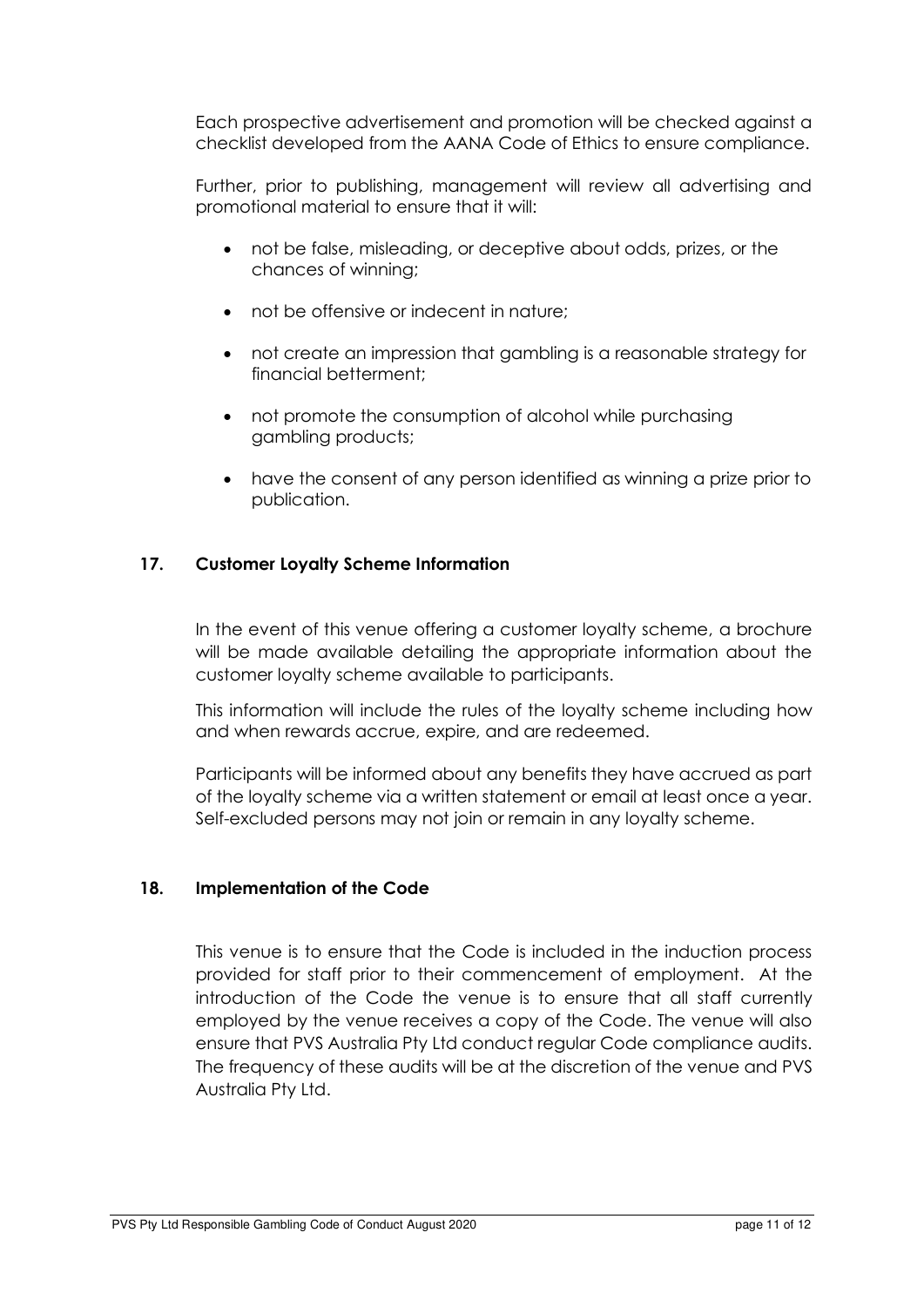Each prospective advertisement and promotion will be checked against a checklist developed from the AANA Code of Ethics to ensure compliance.

Further, prior to publishing, management will review all advertising and promotional material to ensure that it will:

- not be false, misleading, or deceptive about odds, prizes, or the chances of winning;
- not be offensive or indecent in nature;
- not create an impression that gambling is a reasonable strategy for financial betterment;
- not promote the consumption of alcohol while purchasing gambling products;
- have the consent of any person identified as winning a prize prior to publication.

# **17. Customer Loyalty Scheme Information**

 In the event of this venue offering a customer loyalty scheme, a brochure will be made available detailing the appropriate information about the customer loyalty scheme available to participants.

 This information will include the rules of the loyalty scheme including how and when rewards accrue, expire, and are redeemed.

Participants will be informed about any benefits they have accrued as part of the loyalty scheme via a written statement or email at least once a year. Self-excluded persons may not join or remain in any loyalty scheme.

# **18. Implementation of the Code**

This venue is to ensure that the Code is included in the induction process provided for staff prior to their commencement of employment. At the introduction of the Code the venue is to ensure that all staff currently employed by the venue receives a copy of the Code. The venue will also ensure that PVS Australia Pty Ltd conduct regular Code compliance audits. The frequency of these audits will be at the discretion of the venue and PVS Australia Pty Ltd.